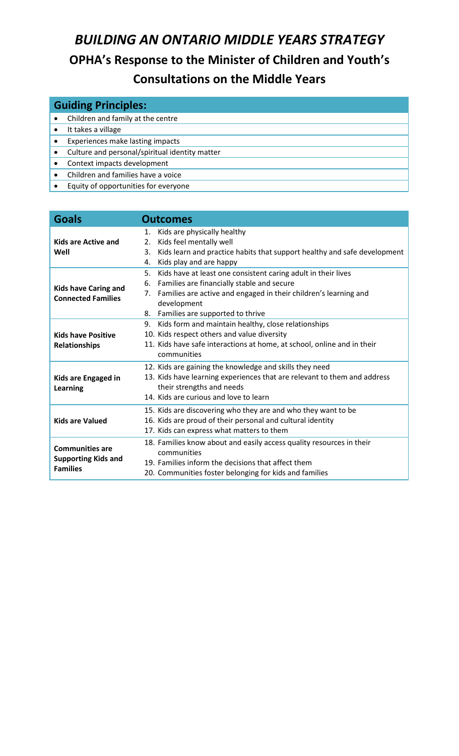# *BUILDING AN ONTARIO MIDDLE YEARS STRATEGY* **OPHA's Response to the Minister of Children and Youth's Consultations on the Middle Years**

| <b>Guiding Principles:</b> |                                                |  |
|----------------------------|------------------------------------------------|--|
|                            | Children and family at the centre              |  |
|                            | It takes a village                             |  |
|                            | Experiences make lasting impacts               |  |
|                            | Culture and personal/spiritual identity matter |  |
|                            | Context impacts development                    |  |
|                            | Children and families have a voice             |  |
|                            | Equity of opportunities for everyone           |  |

| <b>Goals</b>                                                            | <b>Outcomes</b>                                                                                                                                                                                                                                            |
|-------------------------------------------------------------------------|------------------------------------------------------------------------------------------------------------------------------------------------------------------------------------------------------------------------------------------------------------|
| <b>Kids are Active and</b><br>Well                                      | Kids are physically healthy<br>1.<br>Kids feel mentally well<br>2.<br>Kids learn and practice habits that support healthy and safe development<br>3.<br>Kids play and are happy<br>4.                                                                      |
| <b>Kids have Caring and</b><br><b>Connected Families</b>                | 5.<br>Kids have at least one consistent caring adult in their lives<br>Families are financially stable and secure<br>6.<br>Families are active and engaged in their children's learning and<br>7.<br>development<br>Families are supported to thrive<br>8. |
| <b>Kids have Positive</b><br><b>Relationships</b>                       | Kids form and maintain healthy, close relationships<br>9.<br>10. Kids respect others and value diversity<br>11. Kids have safe interactions at home, at school, online and in their<br>communities                                                         |
| Kids are Engaged in<br><b>Learning</b>                                  | 12. Kids are gaining the knowledge and skills they need<br>13. Kids have learning experiences that are relevant to them and address<br>their strengths and needs<br>14. Kids are curious and love to learn                                                 |
| <b>Kids are Valued</b>                                                  | 15. Kids are discovering who they are and who they want to be<br>16. Kids are proud of their personal and cultural identity<br>17. Kids can express what matters to them                                                                                   |
| <b>Communities are</b><br><b>Supporting Kids and</b><br><b>Families</b> | 18. Families know about and easily access quality resources in their<br>communities<br>19. Families inform the decisions that affect them<br>20. Communities foster belonging for kids and families                                                        |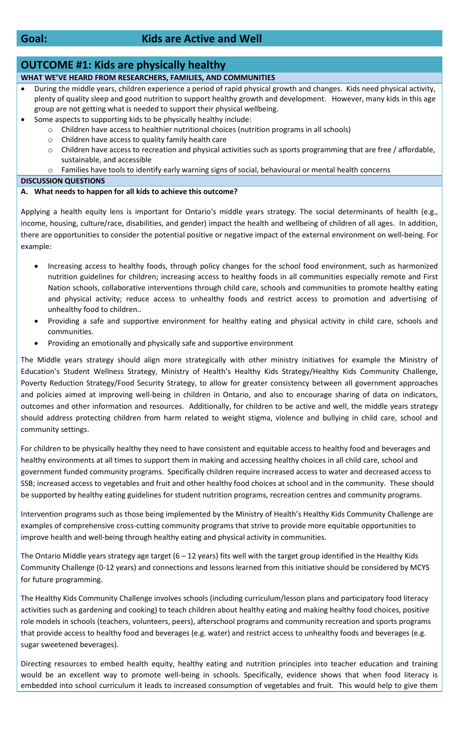## **Goal: Kids are Active and Well**

## **OUTCOME #1: Kids are physically healthy**

- **WHAT WE'VE HEARD FROM RESEARCHERS, FAMILIES, AND COMMUNITIES**
- During the middle years, children experience a period of rapid physical growth and changes. Kids need physical activity, plenty of quality sleep and good nutrition to support healthy growth and development. However, many kids in this age group are not getting what is needed to support their physical wellbeing.
	- Some aspects to supporting kids to be physically healthy include:
		- o Children have access to healthier nutritional choices (nutrition programs in all schools)
		- o Children have access to quality family health care
		- o Children have access to recreation and physical activities such as sports programming that are free / affordable, sustainable, and accessible
		- o Families have tools to identify early warning signs of social, behavioural or mental health concerns

#### **DISCUSSION QUESTIONS**

### **A. What needs to happen for all kids to achieve this outcome?**

Applying a health equity lens is important for Ontario's middle years strategy. The social determinants of health (e.g., income, housing, culture/race, disabilities, and gender) impact the health and wellbeing of children of all ages. In addition, there are opportunities to consider the potential positive or negative impact of the external environment on well-being. For example:

- Increasing access to healthy foods, through policy changes for the school food environment, such as harmonized nutrition guidelines for children; increasing access to healthy foods in all communities especially remote and First Nation schools, collaborative interventions through child care, schools and communities to promote healthy eating and physical activity; reduce access to unhealthy foods and restrict access to promotion and advertising of unhealthy food to children..
- Providing a safe and supportive environment for healthy eating and physical activity in child care, schools and communities.
- Providing an emotionally and physically safe and supportive environment

The Middle years strategy should align more strategically with other ministry initiatives for example the Ministry of Education's Student Wellness Strategy, Ministry of Health's Healthy Kids Strategy/Healthy Kids Community Challenge, Poverty Reduction Strategy/Food Security Strategy, to allow for greater consistency between all government approaches and policies aimed at improving well-being in children in Ontario, and also to encourage sharing of data on indicators, outcomes and other information and resources. Additionally, for children to be active and well, the middle years strategy should address protecting children from harm related to weight stigma, violence and bullying in child care, school and community settings.

For children to be physically healthy they need to have consistent and equitable access to healthy food and beverages and healthy environments at all times to support them in making and accessing healthy choices in all child care, school and government funded community programs. Specifically children require increased access to water and decreased access to SSB; increased access to vegetables and fruit and other healthy food choices at school and in the community. These should be supported by healthy eating guidelines for student nutrition programs, recreation centres and community programs.

Intervention programs such as those being implemented by the Ministry of Health's Healthy Kids Community Challenge are examples of comprehensive cross-cutting community programs that strive to provide more equitable opportunities to improve health and well-being through healthy eating and physical activity in communities.

The Ontario Middle years strategy age target  $(6 - 12$  years) fits well with the target group identified in the Healthy Kids Community Challenge (0-12 years) and connections and lessons learned from this initiative should be considered by MCYS for future programming.

The Healthy Kids Community Challenge involves schools (including curriculum/lesson plans and participatory food literacy activities such as gardening and cooking) to teach children about healthy eating and making healthy food choices, positive role models in schools (teachers, volunteers, peers), afterschool programs and community recreation and sports programs that provide access to healthy food and beverages (e.g. water) and restrict access to unhealthy foods and beverages (e.g. sugar sweetened beverages).

Directing resources to embed health equity, healthy eating and nutrition principles into teacher education and training would be an excellent way to promote well-being in schools. Specifically, evidence shows that when food literacy is embedded into school curriculum it leads to increased consumption of vegetables and fruit. This would help to give them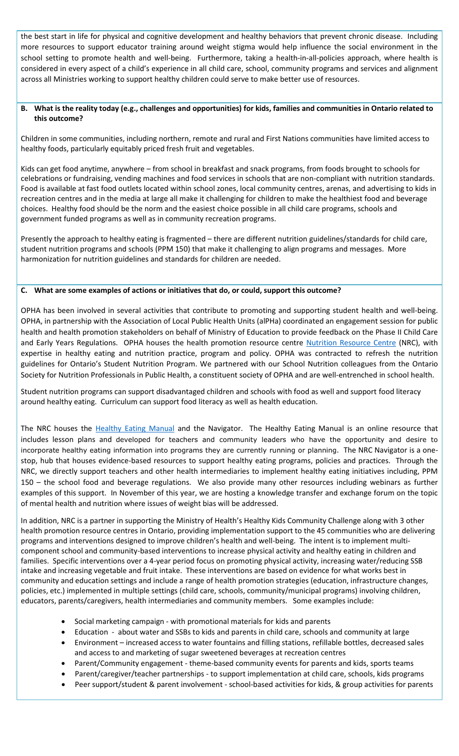the best start in life for physical and cognitive development and healthy behaviors that prevent chronic disease. Including more resources to support educator training around weight stigma would help influence the social environment in the school setting to promote health and well-being. Furthermore, taking a health-in-all-policies approach, where health is considered in every aspect of a child's experience in all child care, school, community programs and services and alignment across all Ministries working to support healthy children could serve to make better use of resources.

### **B. What is the reality today (e.g., challenges and opportunities) for kids, families and communities in Ontario related to this outcome?**

Children in some communities, including northern, remote and rural and First Nations communities have limited access to healthy foods, particularly equitably priced fresh fruit and vegetables.

Kids can get food anytime, anywhere – from school in breakfast and snack programs, from foods brought to schools for celebrations or fundraising, vending machines and food services in schools that are non-compliant with nutrition standards. Food is available at fast food outlets located within school zones, local community centres, arenas, and advertising to kids in recreation centres and in the media at large all make it challenging for children to make the healthiest food and beverage choices. Healthy food should be the norm and the easiest choice possible in all child care programs, schools and government funded programs as well as in community recreation programs.

Presently the approach to healthy eating is fragmented – there are different nutrition guidelines/standards for child care, student nutrition programs and schools (PPM 150) that make it challenging to align programs and messages. More harmonization for nutrition guidelines and standards for children are needed.

## **C. What are some examples of actions or initiatives that do, or could, support this outcome?**

OPHA has been involved in several activities that contribute to promoting and supporting student health and well-being. OPHA, in partnership with the Association of Local Public Health Units (alPHa) coordinated an engagement session for public health and health promotion stakeholders on behalf of Ministry of Education to provide feedback on the Phase II Child Care and Early Years Regulations. OPHA houses the health promotion resource centre [Nutrition Resource Centre](http://opha.on.ca/Nutrition-Resource-Centre/Home.aspx) (NRC), with expertise in healthy eating and nutrition practice, program and policy. OPHA was contracted to refresh the nutrition guidelines for Ontario's Student Nutrition Program. We partnered with our School Nutrition colleagues from the Ontario Society for Nutrition Professionals in Public Health, a constituent society of OPHA and are well-entrenched in school health.

Student nutrition programs can support disadvantaged children and schools with food as well and support food literacy around healthy eating. Curriculum can support food literacy as well as health education.

The NRC houses the [Healthy Eating Manual](http://www.healthyeatingmanual.ca/) and the Navigator. The Healthy Eating Manual is an online resource that includes lesson plans and developed for teachers and community leaders who have the opportunity and desire to incorporate healthy eating information into programs they are currently running or planning. The NRC Navigator is a onestop, hub that houses evidence-based resources to support healthy eating programs, policies and practices. Through the NRC, we directly support teachers and other health intermediaries to implement healthy eating initiatives including, PPM 150 – the school food and beverage regulations. We also provide many other resources including webinars as further examples of this support. In November of this year, we are hosting a knowledge transfer and exchange forum on the topic of mental health and nutrition where issues of weight bias will be addressed.

In addition, NRC is a partner in supporting the Ministry of Health's Healthy Kids Community Challenge along with 3 other health promotion resource centres in Ontario, providing implementation support to the 45 communities who are delivering programs and interventions designed to improve children's health and well-being. The intent is to implement multicomponent school and community-based interventions to increase physical activity and healthy eating in children and families. Specific interventions over a 4-year period focus on promoting physical activity, increasing water/reducing SSB intake and increasing vegetable and fruit intake. These interventions are based on evidence for what works best in community and education settings and include a range of health promotion strategies (education, infrastructure changes, policies, etc.) implemented in multiple settings (child care, schools, community/municipal programs) involving children, educators, parents/caregivers, health intermediaries and community members. Some examples include:

- Social marketing campaign with promotional materials for kids and parents
- Education about water and SSBs to kids and parents in child care, schools and community at large
- Environment increased access to water fountains and filling stations, refillable bottles, decreased sales and access to and marketing of sugar sweetened beverages at recreation centres
- Parent/Community engagement theme-based community events for parents and kids, sports teams
- Parent/caregiver/teacher partnerships to support implementation at child care, schools, kids programs
- Peer support/student & parent involvement school-based activities for kids, & group activities for parents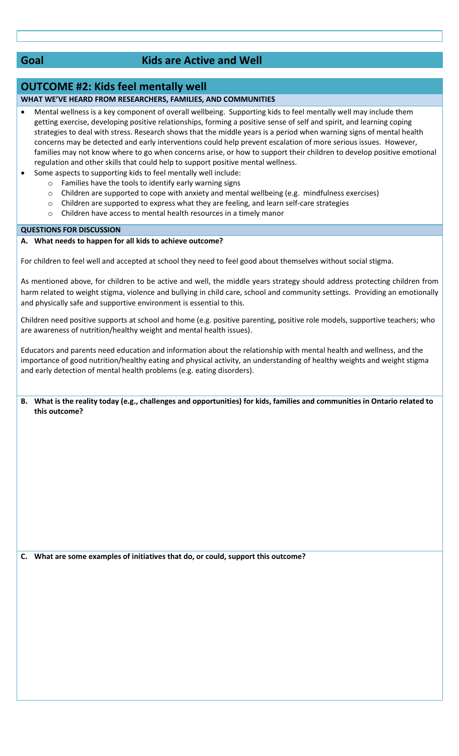## **Goal Kids are Active and Well**

## **OUTCOME #2: Kids feel mentally well**

## **WHAT WE'VE HEARD FROM RESEARCHERS, FAMILIES, AND COMMUNITIES**

- Mental wellness is a key component of overall wellbeing. Supporting kids to feel mentally well may include them getting exercise, developing positive relationships, forming a positive sense of self and spirit, and learning coping strategies to deal with stress. Research shows that the middle years is a period when warning signs of mental health concerns may be detected and early interventions could help prevent escalation of more serious issues. However, families may not know where to go when concerns arise, or how to support their children to develop positive emotional regulation and other skills that could help to support positive mental wellness.
- Some aspects to supporting kids to feel mentally well include:
	- o Families have the tools to identify early warning signs
	- $\circ$  Children are supported to cope with anxiety and mental wellbeing (e.g. mindfulness exercises)
	- $\circ$  Children are supported to express what they are feeling, and learn self-care strategies
	- o Children have access to mental health resources in a timely manor

#### **QUESTIONS FOR DISCUSSION**

#### **A. What needs to happen for all kids to achieve outcome?**

For children to feel well and accepted at school they need to feel good about themselves without social stigma.

As mentioned above, for children to be active and well, the middle years strategy should address protecting children from harm related to weight stigma, violence and bullying in child care, school and community settings. Providing an emotionally and physically safe and supportive environment is essential to this.

Children need positive supports at school and home (e.g. positive parenting, positive role models, supportive teachers; who are awareness of nutrition/healthy weight and mental health issues).

Educators and parents need education and information about the relationship with mental health and wellness, and the importance of good nutrition/healthy eating and physical activity, an understanding of healthy weights and weight stigma and early detection of mental health problems (e.g. eating disorders).

**B. What is the reality today (e.g., challenges and opportunities) for kids, families and communities in Ontario related to this outcome?**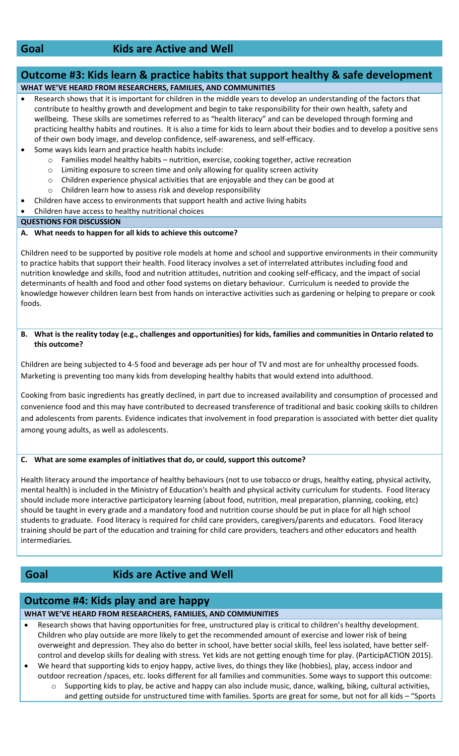## **Goal Kids are Active and Well**

## **Outcome #3: Kids learn & practice habits that support healthy & safe development WHAT WE'VE HEARD FROM RESEARCHERS, FAMILIES, AND COMMUNITIES**

- Research shows that it is important for children in the middle years to develop an understanding of the factors that contribute to healthy growth and development and begin to take responsibility for their own health, safety and wellbeing. These skills are sometimes referred to as "health literacy" and can be developed through forming and practicing healthy habits and routines. It is also a time for kids to learn about their bodies and to develop a positive sens of their own body image, and develop confidence, self-awareness, and self-efficacy.
	- Some ways kids learn and practice health habits include:
		- o Families model healthy habits nutrition, exercise, cooking together, active recreation
		- o Limiting exposure to screen time and only allowing for quality screen activity
		- o Children experience physical activities that are enjoyable and they can be good at
		- o Children learn how to assess risk and develop responsibility
		- Children have access to environments that support health and active living habits
- Children have access to healthy nutritional choices

### **QUESTIONS FOR DISCUSSION**

### **A. What needs to happen for all kids to achieve this outcome?**

Children need to be supported by positive role models at home and school and supportive environments in their community to practice habits that support their health. Food literacy involves a set of interrelated attributes including food and nutrition knowledge and skills, food and nutrition attitudes, nutrition and cooking self-efficacy, and the impact of social determinants of health and food and other food systems on dietary behaviour. Curriculum is needed to provide the knowledge however children learn best from hands on interactive activities such as gardening or helping to prepare or cook foods.

### **B. What is the reality today (e.g., challenges and opportunities) for kids, families and communities in Ontario related to this outcome?**

Children are being subjected to 4-5 food and beverage ads per hour of TV and most are for unhealthy processed foods. Marketing is preventing too many kids from developing healthy habits that would extend into adulthood.

Cooking from basic ingredients has greatly declined, in part due to increased availability and consumption of processed and convenience food and this may have contributed to decreased transference of traditional and basic cooking skills to children and adolescents from parents. Evidence indicates that involvement in food preparation is associated with better diet quality among young adults, as well as adolescents.

## **C. What are some examples of initiatives that do, or could, support this outcome?**

Health literacy around the importance of healthy behaviours (not to use tobacco or drugs, healthy eating, physical activity, mental health) is included in the Ministry of Education's health and physical activity curriculum for students. Food literacy should include more interactive participatory learning (about food, nutrition, meal preparation, planning, cooking, etc) should be taught in every grade and a mandatory food and nutrition course should be put in place for all high school students to graduate. Food literacy is required for child care providers, caregivers/parents and educators. Food literacy training should be part of the education and training for child care providers, teachers and other educators and health intermediaries.

## **Goal Kids are Active and Well**

## **Outcome #4: Kids play and are happy**

**WHAT WE'VE HEARD FROM RESEARCHERS, FAMILIES, AND COMMUNITIES**

- Research shows that having opportunities for free, unstructured play is critical to children's healthy development. Children who play outside are more likely to get the recommended amount of exercise and lower risk of being overweight and depression. They also do better in school, have better social skills, feel less isolated, have better selfcontrol and develop skills for dealing with stress. Yet kids are not getting enough time for play. (ParticipACTION 2015).
- We heard that supporting kids to enjoy happy, active lives, do things they like (hobbies), play, access indoor and outdoor recreation /spaces, etc. looks different for all families and communities. Some ways to support this outcome:
	- o Supporting kids to play, be active and happy can also include music, dance, walking, biking, cultural activities, and getting outside for unstructured time with families. Sports are great for some, but not for all kids – "Sports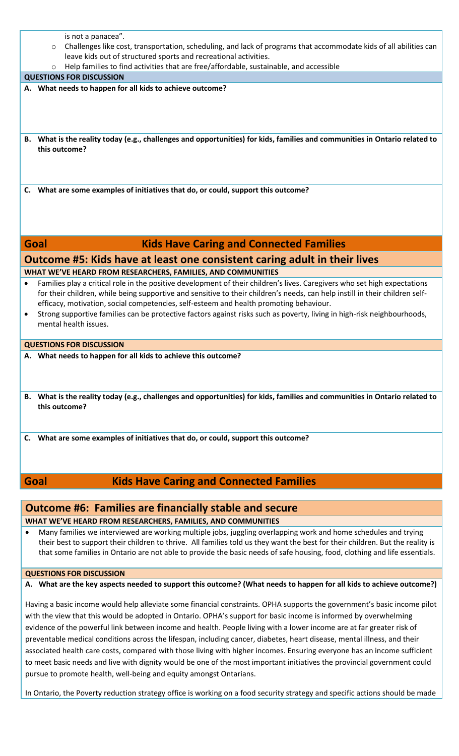| is not a panacea".                                                                                                                                                                                                                                                                                                                                                                                                                                                                                                                |  |  |
|-----------------------------------------------------------------------------------------------------------------------------------------------------------------------------------------------------------------------------------------------------------------------------------------------------------------------------------------------------------------------------------------------------------------------------------------------------------------------------------------------------------------------------------|--|--|
| Challenges like cost, transportation, scheduling, and lack of programs that accommodate kids of all abilities can<br>$\circ$                                                                                                                                                                                                                                                                                                                                                                                                      |  |  |
| leave kids out of structured sports and recreational activities.                                                                                                                                                                                                                                                                                                                                                                                                                                                                  |  |  |
| Help families to find activities that are free/affordable, sustainable, and accessible<br>$\circ$                                                                                                                                                                                                                                                                                                                                                                                                                                 |  |  |
| <b>QUESTIONS FOR DISCUSSION</b>                                                                                                                                                                                                                                                                                                                                                                                                                                                                                                   |  |  |
| A. What needs to happen for all kids to achieve outcome?                                                                                                                                                                                                                                                                                                                                                                                                                                                                          |  |  |
| B. What is the reality today (e.g., challenges and opportunities) for kids, families and communities in Ontario related to<br>this outcome?                                                                                                                                                                                                                                                                                                                                                                                       |  |  |
| C. What are some examples of initiatives that do, or could, support this outcome?                                                                                                                                                                                                                                                                                                                                                                                                                                                 |  |  |
| Goal<br><b>Kids Have Caring and Connected Families</b>                                                                                                                                                                                                                                                                                                                                                                                                                                                                            |  |  |
| Outcome #5: Kids have at least one consistent caring adult in their lives                                                                                                                                                                                                                                                                                                                                                                                                                                                         |  |  |
| WHAT WE'VE HEARD FROM RESEARCHERS, FAMILIES, AND COMMUNITIES                                                                                                                                                                                                                                                                                                                                                                                                                                                                      |  |  |
| Families play a critical role in the positive development of their children's lives. Caregivers who set high expectations<br>$\bullet$<br>for their children, while being supportive and sensitive to their children's needs, can help instill in their children self-<br>efficacy, motivation, social competencies, self-esteem and health promoting behaviour.<br>Strong supportive families can be protective factors against risks such as poverty, living in high-risk neighbourhoods,<br>$\bullet$<br>mental health issues. |  |  |
| <b>QUESTIONS FOR DISCUSSION</b>                                                                                                                                                                                                                                                                                                                                                                                                                                                                                                   |  |  |
| A. What needs to happen for all kids to achieve this outcome?                                                                                                                                                                                                                                                                                                                                                                                                                                                                     |  |  |
|                                                                                                                                                                                                                                                                                                                                                                                                                                                                                                                                   |  |  |
| B. What is the reality today (e.g., challenges and opportunities) for kids, families and communities in Ontario related to<br>this outcome?                                                                                                                                                                                                                                                                                                                                                                                       |  |  |
| What are some examples of initiatives that do, or could, support this outcome?<br>C.                                                                                                                                                                                                                                                                                                                                                                                                                                              |  |  |
| <b>Kids Have Caring and Connected Families</b><br>Goal                                                                                                                                                                                                                                                                                                                                                                                                                                                                            |  |  |
|                                                                                                                                                                                                                                                                                                                                                                                                                                                                                                                                   |  |  |
| <b>Outcome #6: Families are financially stable and secure</b>                                                                                                                                                                                                                                                                                                                                                                                                                                                                     |  |  |
| WHAT WE'VE HEARD FROM RESEARCHERS, FAMILIES, AND COMMUNITIES                                                                                                                                                                                                                                                                                                                                                                                                                                                                      |  |  |
| Many families we interviewed are working multiple jobs, juggling overlapping work and home schedules and trying                                                                                                                                                                                                                                                                                                                                                                                                                   |  |  |
|                                                                                                                                                                                                                                                                                                                                                                                                                                                                                                                                   |  |  |

#### **QUESTIONS FOR DISCUSSION**

**A. What are the key aspects needed to support this outcome? (What needs to happen for all kids to achieve outcome?)**

their best to support their children to thrive. All families told us they want the best for their children. But the reality is that some families in Ontario are not able to provide the basic needs of safe housing, food, clothing and life essentials.

Having a basic income would help alleviate some financial constraints. OPHA supports the government's basic income pilot with the view that this would be adopted in Ontario. OPHA's support for basic income is informed by overwhelming evidence of the powerful link between income and health. People living with a lower income are at far greater risk of preventable medical conditions across the lifespan, including cancer, diabetes, heart disease, mental illness, and their associated health care costs, compared with those living with higher incomes. Ensuring everyone has an income sufficient to meet basic needs and live with dignity would be one of the most important initiatives the provincial government could pursue to promote health, well-being and equity amongst Ontarians.

In Ontario, the Poverty reduction strategy office is working on a food security strategy and specific actions should be made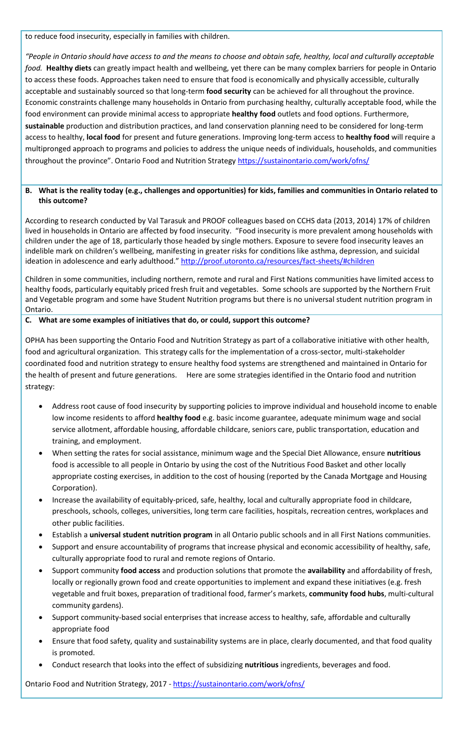to reduce food insecurity, especially in families with children.

*"People in Ontario should have access to and the means to choose and obtain safe, healthy, local and culturally acceptable food.* **Healthy diets** can greatly impact health and wellbeing, yet there can be many complex barriers for people in Ontario to access these foods. Approaches taken need to ensure that food is economically and physically accessible, culturally acceptable and sustainably sourced so that long-term **food security** can be achieved for all throughout the province. Economic constraints challenge many households in Ontario from purchasing healthy, culturally acceptable food, while the food environment can provide minimal access to appropriate **healthy food** outlets and food options. Furthermore, **sustainable** production and distribution practices, and land conservation planning need to be considered for long-term access to healthy, **local food** for present and future generations. Improving long-term access to **healthy food** will require a multipronged approach to programs and policies to address the unique needs of individuals, households, and communities throughout the province". Ontario Food and Nutrition Strategy <https://sustainontario.com/work/ofns/>

## **B. What is the reality today (e.g., challenges and opportunities) for kids, families and communities in Ontario related to this outcome?**

According to research conducted by Val Tarasuk and PROOF colleagues based on CCHS data (2013, 2014) 17% of children lived in households in Ontario are affected by food insecurity. "Food insecurity is more prevalent among households with children under the age of 18, particularly those headed by single mothers. Exposure to severe food insecurity leaves an indelible mark on children's wellbeing, manifesting in greater risks for conditions like asthma, depression, and suicidal ideation in adolescence and early adulthood." <http://proof.utoronto.ca/resources/fact-sheets/#children>

Children in some communities, including northern, remote and rural and First Nations communities have limited access to healthy foods, particularly equitably priced fresh fruit and vegetables. Some schools are supported by the Northern Fruit and Vegetable program and some have Student Nutrition programs but there is no universal student nutrition program in Ontario.

### **C. What are some examples of initiatives that do, or could, support this outcome?**

OPHA has been supporting the Ontario Food and Nutrition Strategy as part of a collaborative initiative with other health, food and agricultural organization. This strategy calls for the implementation of a cross-sector, multi-stakeholder coordinated food and nutrition strategy to ensure healthy food systems are strengthened and maintained in Ontario for the health of present and future generations. Here are some strategies identified in the Ontario food and nutrition strategy:

- Address root cause of food insecurity by supporting policies to improve individual and household income to enable low income residents to afford **healthy food** e.g. basic income guarantee, adequate minimum wage and social service allotment, affordable housing, affordable childcare, seniors care, public transportation, education and training, and employment.
- When setting the rates for social assistance, minimum wage and the Special Diet Allowance, ensure **nutritious** food is accessible to all people in Ontario by using the cost of the Nutritious Food Basket and other locally appropriate costing exercises, in addition to the cost of housing (reported by the Canada Mortgage and Housing Corporation).
- Increase the availability of equitably-priced, safe, healthy, local and culturally appropriate food in childcare, preschools, schools, colleges, universities, long term care facilities, hospitals, recreation centres, workplaces and other public facilities.
- Establish a **universal student nutrition program** in all Ontario public schools and in all First Nations communities.
- Support and ensure accountability of programs that increase physical and economic accessibility of healthy, safe, culturally appropriate food to rural and remote regions of Ontario.
- Support community **food access** and production solutions that promote the **availability** and affordability of fresh, locally or regionally grown food and create opportunities to implement and expand these initiatives (e.g. fresh vegetable and fruit boxes, preparation of traditional food, farmer's markets, **community food hubs**, multi-cultural community gardens).
- Support community-based social enterprises that increase access to healthy, safe, affordable and culturally appropriate food
- Ensure that food safety, quality and sustainability systems are in place, clearly documented, and that food quality is promoted.
- Conduct research that looks into the effect of subsidizing **nutritious** ingredients, beverages and food.

Ontario Food and Nutrition Strategy, 2017 - <https://sustainontario.com/work/ofns/>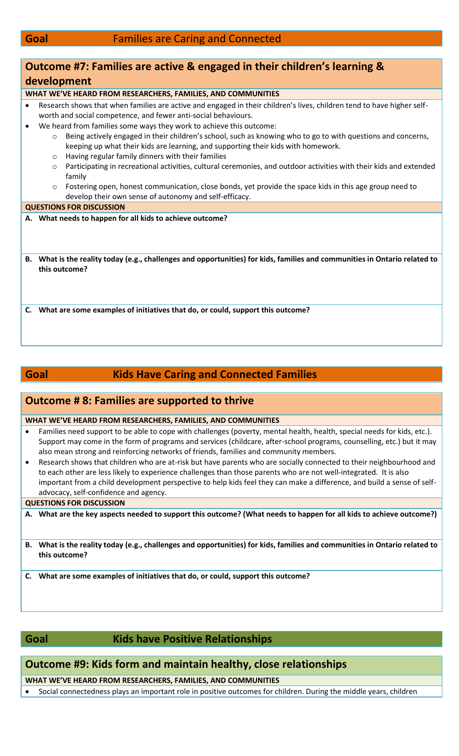| Outcome #7: Families are active & engaged in their children's learning &                                                                                                                                                                                                                  |
|-------------------------------------------------------------------------------------------------------------------------------------------------------------------------------------------------------------------------------------------------------------------------------------------|
| development                                                                                                                                                                                                                                                                               |
| WHAT WE'VE HEARD FROM RESEARCHERS, FAMILIES, AND COMMUNITIES                                                                                                                                                                                                                              |
| Research shows that when families are active and engaged in their children's lives, children tend to have higher self-<br>$\bullet$<br>worth and social competence, and fewer anti-social behaviours.<br>We heard from families some ways they work to achieve this outcome:<br>$\bullet$ |
| Being actively engaged in their children's school, such as knowing who to go to with questions and concerns,<br>$\circ$<br>keeping up what their kids are learning, and supporting their kids with homework.<br>Having regular family dinners with their families<br>$\circ$              |
| Participating in recreational activities, cultural ceremonies, and outdoor activities with their kids and extended<br>$\circ$<br>family<br>Fostering open, honest communication, close bonds, yet provide the space kids in this age group need to<br>$\circ$                             |
| develop their own sense of autonomy and self-efficacy.                                                                                                                                                                                                                                    |
| <b>QUESTIONS FOR DISCUSSION</b>                                                                                                                                                                                                                                                           |
| A. What needs to happen for all kids to achieve outcome?                                                                                                                                                                                                                                  |
| What is the reality today (e.g., challenges and opportunities) for kids, families and communities in Ontario related to<br>В.<br>this outcome?                                                                                                                                            |
| What are some examples of initiatives that do, or could, support this outcome?<br>C.                                                                                                                                                                                                      |

## **Goal Kids Have Caring and Connected Families**

## **Outcome # 8: Families are supported to thrive**

#### **WHAT WE'VE HEARD FROM RESEARCHERS, FAMILIES, AND COMMUNITIES**

- Families need support to be able to cope with challenges (poverty, mental health, health, special needs for kids, etc.). Support may come in the form of programs and services (childcare, after-school programs, counselling, etc.) but it may also mean strong and reinforcing networks of friends, families and community members.
- Research shows that children who are at-risk but have parents who are socially connected to their neighbourhood and to each other are less likely to experience challenges than those parents who are not well-integrated. It is also important from a child development perspective to help kids feel they can make a difference, and build a sense of selfadvocacy, self-confidence and agency.

#### **QUESTIONS FOR DISCUSSION**

**A. What are the key aspects needed to support this outcome? (What needs to happen for all kids to achieve outcome?)**

**B. What is the reality today (e.g., challenges and opportunities) for kids, families and communities in Ontario related to this outcome?**

**C. What are some examples of initiatives that do, or could, support this outcome?**

## **Goal Kids have Positive Relationships**

## **Outcome #9: Kids form and maintain healthy, close relationships**

**WHAT WE'VE HEARD FROM RESEARCHERS, FAMILIES, AND COMMUNITIES**

Social connectedness plays an important role in positive outcomes for children. During the middle years, children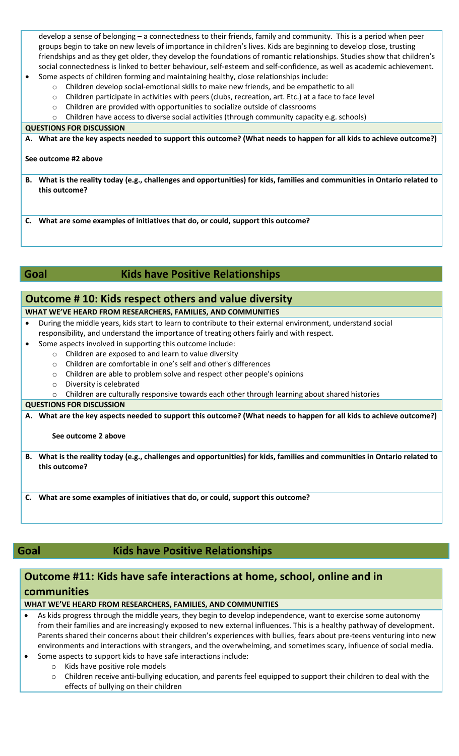develop a sense of belonging – a connectedness to their friends, family and community. This is a period when peer groups begin to take on new levels of importance in children's lives. Kids are beginning to develop close, trusting friendships and as they get older, they develop the foundations of romantic relationships. Studies show that children's social connectedness is linked to better behaviour, self-esteem and self-confidence, as well as academic achievement.

- Some aspects of children forming and maintaining healthy, close relationships include:
	- o Children develop social-emotional skills to make new friends, and be empathetic to all
	- o Children participate in activities with peers (clubs, recreation, art. Etc.) at a face to face level
	- o Children are provided with opportunities to socialize outside of classrooms
	- o Children have access to diverse social activities (through community capacity e.g. schools)

### **QUESTIONS FOR DISCUSSION**

**A. What are the key aspects needed to support this outcome? (What needs to happen for all kids to achieve outcome?)**

#### **See outcome #2 above**

**B. What is the reality today (e.g., challenges and opportunities) for kids, families and communities in Ontario related to this outcome?**

**C. What are some examples of initiatives that do, or could, support this outcome?**

## **Goal Kids have Positive Relationships**

## **Outcome # 10: Kids respect others and value diversity**

## **WHAT WE'VE HEARD FROM RESEARCHERS, FAMILIES, AND COMMUNITIES**

 During the middle years, kids start to learn to contribute to their external environment, understand social responsibility, and understand the importance of treating others fairly and with respect.

- Some aspects involved in supporting this outcome include:
	- o Children are exposed to and learn to value diversity
	- o Children are comfortable in one's self and other's differences
	- o Children are able to problem solve and respect other people's opinions
	- o Diversity is celebrated
	- $\circ$  Children are culturally responsive towards each other through learning about shared histories

### **QUESTIONS FOR DISCUSSION**

**A. What are the key aspects needed to support this outcome? (What needs to happen for all kids to achieve outcome?)**

## **See outcome 2 above**

**B. What is the reality today (e.g., challenges and opportunities) for kids, families and communities in Ontario related to this outcome?**

**C. What are some examples of initiatives that do, or could, support this outcome?**

## **Goal Kids have Positive Relationships**

## **Outcome #11: Kids have safe interactions at home, school, online and in communities**

## **WHAT WE'VE HEARD FROM RESEARCHERS, FAMILIES, AND COMMUNITIES**

- As kids progress through the middle years, they begin to develop independence, want to exercise some autonomy from their families and are increasingly exposed to new external influences. This is a healthy pathway of development. Parents shared their concerns about their children's experiences with bullies, fears about pre-teens venturing into new environments and interactions with strangers, and the overwhelming, and sometimes scary, influence of social media.
- Some aspects to support kids to have safe interactions include:
	- o Kids have positive role models
	- o Children receive anti-bullying education, and parents feel equipped to support their children to deal with the effects of bullying on their children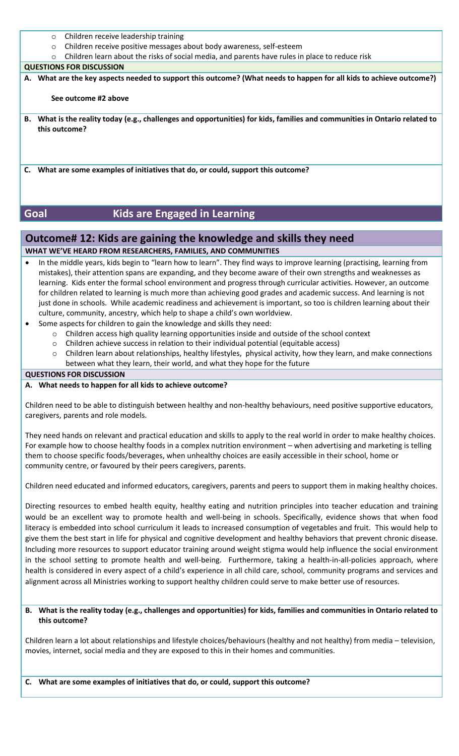- o Children receive leadership training
- o Children receive positive messages about body awareness, self-esteem
- o Children learn about the risks of social media, and parents have rules in place to reduce risk

#### **QUESTIONS FOR DISCUSSION**

**A. What are the key aspects needed to support this outcome? (What needs to happen for all kids to achieve outcome?)**

#### **See outcome #2 above**

- **B. What is the reality today (e.g., challenges and opportunities) for kids, families and communities in Ontario related to this outcome?**
- **C. What are some examples of initiatives that do, or could, support this outcome?**

## **Goal Kids are Engaged in Learning**

## **Outcome# 12: Kids are gaining the knowledge and skills they need**

### **WHAT WE'VE HEARD FROM RESEARCHERS, FAMILIES, AND COMMUNITIES**

- In the middle years, kids begin to "learn how to learn". They find ways to improve learning (practising, learning from mistakes), their attention spans are expanding, and they become aware of their own strengths and weaknesses as learning. Kids enter the formal school environment and progress through curricular activities. However, an outcome for children related to learning is much more than achieving good grades and academic success. And learning is not just done in schools. While academic readiness and achievement is important, so too is children learning about their culture, community, ancestry, which help to shape a child's own worldview.
- Some aspects for children to gain the knowledge and skills they need:
	- o Children access high quality learning opportunities inside and outside of the school context
	- o Children achieve success in relation to their individual potential (equitable access)
	- o Children learn about relationships, healthy lifestyles, physical activity, how they learn, and make connections between what they learn, their world, and what they hope for the future

#### **QUESTIONS FOR DISCUSSION**

#### **A. What needs to happen for all kids to achieve outcome?**

Children need to be able to distinguish between healthy and non-healthy behaviours, need positive supportive educators, caregivers, parents and role models.

They need hands on relevant and practical education and skills to apply to the real world in order to make healthy choices. For example how to choose healthy foods in a complex nutrition environment – when advertising and marketing is telling them to choose specific foods/beverages, when unhealthy choices are easily accessible in their school, home or community centre, or favoured by their peers caregivers, parents.

Children need educated and informed educators, caregivers, parents and peers to support them in making healthy choices.

Directing resources to embed health equity, healthy eating and nutrition principles into teacher education and training would be an excellent way to promote health and well-being in schools. Specifically, evidence shows that when food literacy is embedded into school curriculum it leads to increased consumption of vegetables and fruit. This would help to give them the best start in life for physical and cognitive development and healthy behaviors that prevent chronic disease. Including more resources to support educator training around weight stigma would help influence the social environment in the school setting to promote health and well-being. Furthermore, taking a health-in-all-policies approach, where health is considered in every aspect of a child's experience in all child care, school, community programs and services and alignment across all Ministries working to support healthy children could serve to make better use of resources.

### **B. What is the reality today (e.g., challenges and opportunities) for kids, families and communities in Ontario related to this outcome?**

Children learn a lot about relationships and lifestyle choices/behaviours (healthy and not healthy) from media – television, movies, internet, social media and they are exposed to this in their homes and communities.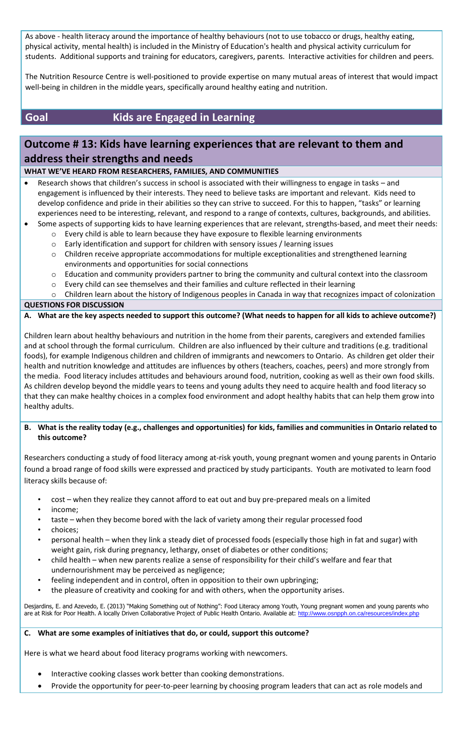As above - health literacy around the importance of healthy behaviours (not to use tobacco or drugs, healthy eating, physical activity, mental health) is included in the Ministry of Education's health and physical activity curriculum for students. Additional supports and training for educators, caregivers, parents. Interactive activities for children and peers.

The Nutrition Resource Centre is well-positioned to provide expertise on many mutual areas of interest that would impact well-being in children in the middle years, specifically around healthy eating and nutrition.

## **Goal Kids are Engaged in Learning**

## **Outcome # 13: Kids have learning experiences that are relevant to them and address their strengths and needs**

### **WHAT WE'VE HEARD FROM RESEARCHERS, FAMILIES, AND COMMUNITIES**

- Research shows that children's success in school is associated with their willingness to engage in tasks and engagement is influenced by their interests. They need to believe tasks are important and relevant. Kids need to develop confidence and pride in their abilities so they can strive to succeed. For this to happen, "tasks" or learning experiences need to be interesting, relevant, and respond to a range of contexts, cultures, backgrounds, and abilities.
- Some aspects of supporting kids to have learning experiences that are relevant, strengths-based, and meet their needs:
	- o Every child is able to learn because they have exposure to flexible learning environments
	- o Early identification and support for children with sensory issues / learning issues
	- o Children receive appropriate accommodations for multiple exceptionalities and strengthened learning environments and opportunities for social connections
	- o Education and community providers partner to bring the community and cultural context into the classroom
	- o Every child can see themselves and their families and culture reflected in their learning
	- o Children learn about the history of Indigenous peoples in Canada in way that recognizes impact of colonization

**QUESTIONS FOR DISCUSSION**

**A. What are the key aspects needed to support this outcome? (What needs to happen for all kids to achieve outcome?)**

Children learn about healthy behaviours and nutrition in the home from their parents, caregivers and extended families and at school through the formal curriculum. Children are also influenced by their culture and traditions (e.g. traditional foods), for example Indigenous children and children of immigrants and newcomers to Ontario. As children get older their health and nutrition knowledge and attitudes are influences by others (teachers, coaches, peers) and more strongly from the media. Food literacy includes attitudes and behaviours around food, nutrition, cooking as well as their own food skills. As children develop beyond the middle years to teens and young adults they need to acquire health and food literacy so that they can make healthy choices in a complex food environment and adopt healthy habits that can help them grow into healthy adults.

### **B. What is the reality today (e.g., challenges and opportunities) for kids, families and communities in Ontario related to this outcome?**

Researchers conducting a study of food literacy among at-risk youth, young pregnant women and young parents in Ontario found a broad range of food skills were expressed and practiced by study participants. Youth are motivated to learn food literacy skills because of:

- cost when they realize they cannot afford to eat out and buy pre-prepared meals on a limited
- income;
- taste when they become bored with the lack of variety among their regular processed food
- choices;
- personal health when they link a steady diet of processed foods (especially those high in fat and sugar) with weight gain, risk during pregnancy, lethargy, onset of diabetes or other conditions;
- child health when new parents realize a sense of responsibility for their child's welfare and fear that undernourishment may be perceived as negligence;
- feeling independent and in control, often in opposition to their own upbringing;
- the pleasure of creativity and cooking for and with others, when the opportunity arises.

Desjardins, E. and Azevedo, E. (2013) "Making Something out of Nothing": Food Literacy among Youth, Young pregnant women and young parents who are at Risk for Poor Health. A locally Driven Collaborative Project of Public Health Ontario. Available at: <http://www.osnpph.on.ca/resources/index.php>

#### **C. What are some examples of initiatives that do, or could, support this outcome?**

Here is what we heard about food literacy programs working with newcomers.

- Interactive cooking classes work better than cooking demonstrations.
- Provide the opportunity for peer-to-peer learning by choosing program leaders that can act as role models and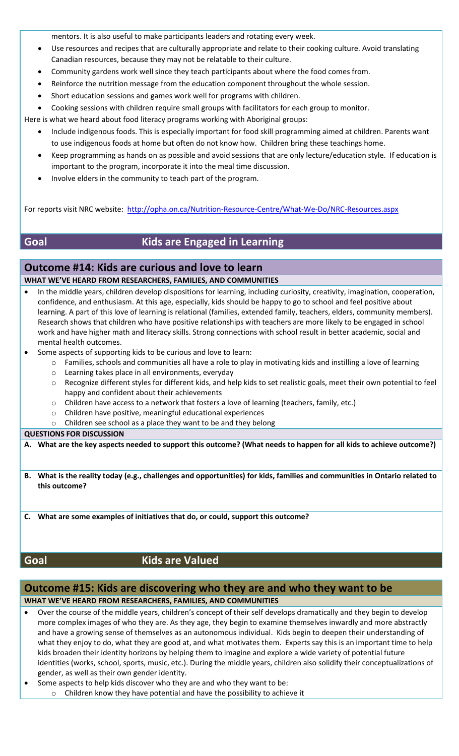mentors. It is also useful to make participants leaders and rotating every week.

- Use resources and recipes that are culturally appropriate and relate to their cooking culture. Avoid translating Canadian resources, because they may not be relatable to their culture.
- Community gardens work well since they teach participants about where the food comes from.
- Reinforce the nutrition message from the education component throughout the whole session.
- Short education sessions and games work well for programs with children.

Cooking sessions with children require small groups with facilitators for each group to monitor.

Here is what we heard about food literacy programs working with Aboriginal groups:

- Include indigenous foods. This is especially important for food skill programming aimed at children. Parents want to use indigenous foods at home but often do not know how. Children bring these teachings home.
- Keep programming as hands on as possible and avoid sessions that are only lecture/education style. If education is important to the program, incorporate it into the meal time discussion.
- Involve elders in the community to teach part of the program.

For reports visit NRC website:<http://opha.on.ca/Nutrition-Resource-Centre/What-We-Do/NRC-Resources.aspx>

## **Goal Kids are Engaged in Learning**

## **Outcome #14: Kids are curious and love to learn**

**WHAT WE'VE HEARD FROM RESEARCHERS, FAMILIES, AND COMMUNITIES**

- In the middle years, children develop dispositions for learning, including curiosity, creativity, imagination, cooperation, confidence, and enthusiasm. At this age, especially, kids should be happy to go to school and feel positive about learning. A part of this love of learning is relational (families, extended family, teachers, elders, community members). Research shows that children who have positive relationships with teachers are more likely to be engaged in school work and have higher math and literacy skills. Strong connections with school result in better academic, social and mental health outcomes.
- Some aspects of supporting kids to be curious and love to learn:
	- o Families, schools and communities all have a role to play in motivating kids and instilling a love of learning
	- o Learning takes place in all environments, everyday
	- o Recognize different styles for different kids, and help kids to set realistic goals, meet their own potential to feel happy and confident about their achievements
	- o Children have access to a network that fosters a love of learning (teachers, family, etc.)
	- o Children have positive, meaningful educational experiences
	- o Children see school as a place they want to be and they belong

**QUESTIONS FOR DISCUSSION**

**A. What are the key aspects needed to support this outcome? (What needs to happen for all kids to achieve outcome?)**

**B. What is the reality today (e.g., challenges and opportunities) for kids, families and communities in Ontario related to this outcome?**

**C. What are some examples of initiatives that do, or could, support this outcome?**

## **Goal Kids are Valued**

## **Outcome #15: Kids are discovering who they are and who they want to be WHAT WE'VE HEARD FROM RESEARCHERS, FAMILIES, AND COMMUNITIES**

 Over the course of the middle years, children's concept of their self develops dramatically and they begin to develop more complex images of who they are. As they age, they begin to examine themselves inwardly and more abstractly and have a growing sense of themselves as an autonomous individual. Kids begin to deepen their understanding of what they enjoy to do, what they are good at, and what motivates them. Experts say this is an important time to help kids broaden their identity horizons by helping them to imagine and explore a wide variety of potential future identities (works, school, sports, music, etc.). During the middle years, children also solidify their conceptualizations of gender, as well as their own gender identity.

Some aspects to help kids discover who they are and who they want to be:

o Children know they have potential and have the possibility to achieve it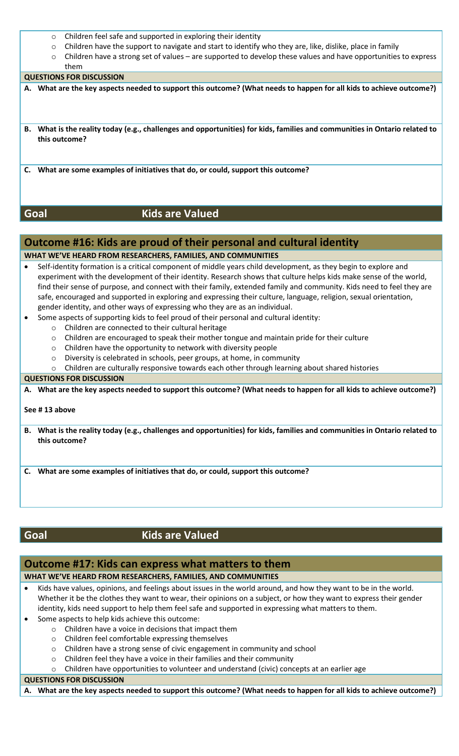- o Children feel safe and supported in exploring their identity
- o Children have the support to navigate and start to identify who they are, like, dislike, place in family
- o Children have a strong set of values are supported to develop these values and have opportunities to express them

#### **QUESTIONS FOR DISCUSSION**

- **A. What are the key aspects needed to support this outcome? (What needs to happen for all kids to achieve outcome?)**
- **B. What is the reality today (e.g., challenges and opportunities) for kids, families and communities in Ontario related to this outcome?**
- **C. What are some examples of initiatives that do, or could, support this outcome?**

## **Goal Kids are Valued**

## **Outcome #16: Kids are proud of their personal and cultural identity**

## **WHAT WE'VE HEARD FROM RESEARCHERS, FAMILIES, AND COMMUNITIES**

- Self-identity formation is a critical component of middle years child development, as they begin to explore and experiment with the development of their identity. Research shows that culture helps kids make sense of the world, find their sense of purpose, and connect with their family, extended family and community. Kids need to feel they are safe, encouraged and supported in exploring and expressing their culture, language, religion, sexual orientation, gender identity, and other ways of expressing who they are as an individual.
	- Some aspects of supporting kids to feel proud of their personal and cultural identity:
		- o Children are connected to their cultural heritage
		- o Children are encouraged to speak their mother tongue and maintain pride for their culture
		- o Children have the opportunity to network with diversity people
		- o Diversity is celebrated in schools, peer groups, at home, in community
		- $\circ$  Children are culturally responsive towards each other through learning about shared histories

#### **QUESTIONS FOR DISCUSSION**

**A. What are the key aspects needed to support this outcome? (What needs to happen for all kids to achieve outcome?)**

#### **See # 13 above**

**B. What is the reality today (e.g., challenges and opportunities) for kids, families and communities in Ontario related to this outcome?**

**C. What are some examples of initiatives that do, or could, support this outcome?**

## **Goal Kids are Valued**

## **Outcome #17: Kids can express what matters to them WHAT WE'VE HEARD FROM RESEARCHERS, FAMILIES, AND COMMUNITIES**

- Kids have values, opinions, and feelings about issues in the world around, and how they want to be in the world. Whether it be the clothes they want to wear, their opinions on a subject, or how they want to express their gender identity, kids need support to help them feel safe and supported in expressing what matters to them.
- Some aspects to help kids achieve this outcome:
	- o Children have a voice in decisions that impact them
	- o Children feel comfortable expressing themselves
	- o Children have a strong sense of civic engagement in community and school
	- o Children feel they have a voice in their families and their community
	- o Children have opportunities to volunteer and understand (civic) concepts at an earlier age

#### **QUESTIONS FOR DISCUSSION**

**A. What are the key aspects needed to support this outcome? (What needs to happen for all kids to achieve outcome?)**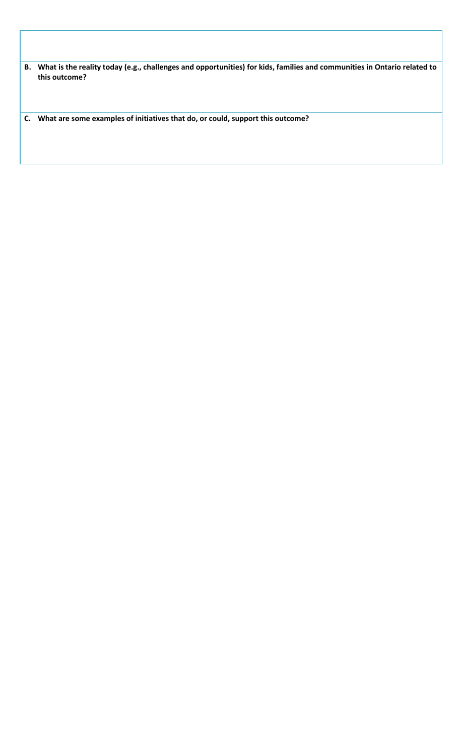**B. What is the reality today (e.g., challenges and opportunities) for kids, families and communities in Ontario related to this outcome?**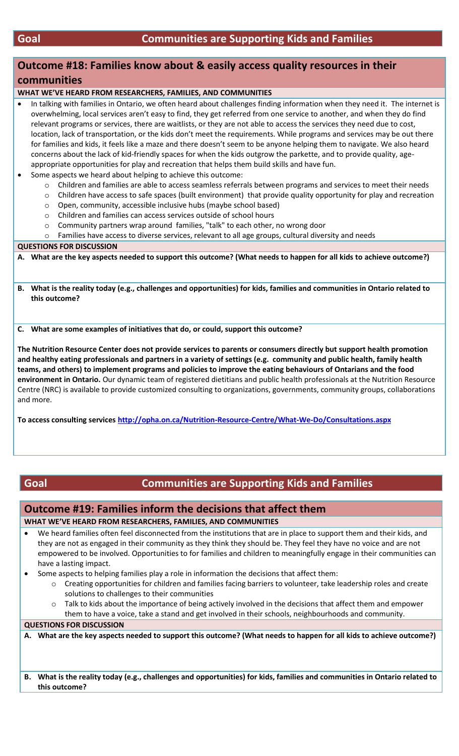## **Outcome #18: Families know about & easily access quality resources in their communities**

**WHAT WE'VE HEARD FROM RESEARCHERS, FAMILIES, AND COMMUNITIES**

 In talking with families in Ontario, we often heard about challenges finding information when they need it. The internet is overwhelming, local services aren't easy to find, they get referred from one service to another, and when they do find relevant programs or services, there are waitlists, or they are not able to access the services they need due to cost, location, lack of transportation, or the kids don't meet the requirements. While programs and services may be out there for families and kids, it feels like a maze and there doesn't seem to be anyone helping them to navigate. We also heard concerns about the lack of kid-friendly spaces for when the kids outgrow the parkette, and to provide quality, ageappropriate opportunities for play and recreation that helps them build skills and have fun.

- Some aspects we heard about helping to achieve this outcome:
	- o Children and families are able to access seamless referrals between programs and services to meet their needs
	- o Children have access to safe spaces (built environment) that provide quality opportunity for play and recreation
	- o Open, community, accessible inclusive hubs (maybe school based)
	- o Children and families can access services outside of school hours
	- o Community partners wrap around families, "talk" to each other, no wrong door
	- o Families have access to diverse services, relevant to all age groups, cultural diversity and needs

#### **QUESTIONS FOR DISCUSSION**

**A. What are the key aspects needed to support this outcome? (What needs to happen for all kids to achieve outcome?)**

**B. What is the reality today (e.g., challenges and opportunities) for kids, families and communities in Ontario related to this outcome?**

**C. What are some examples of initiatives that do, or could, support this outcome?**

**The Nutrition Resource Center does not provide services to parents or consumers directly but support health promotion and healthy eating professionals and partners in a variety of settings (e.g. community and public health, family health teams, and others) to implement programs and policies to improve the eating behaviours of Ontarians and the food environment in Ontario.** Our dynamic team of registered dietitians and public health professionals at the Nutrition Resource Centre (NRC) is available to provide customized consulting to organizations, governments, community groups, collaborations and more.

**To access consulting services<http://opha.on.ca/Nutrition-Resource-Centre/What-We-Do/Consultations.aspx>**

## **Goal Communities are Supporting Kids and Families**

#### **Outcome #19: Families inform the decisions that affect them**

#### **WHAT WE'VE HEARD FROM RESEARCHERS, FAMILIES, AND COMMUNITIES**

 We heard families often feel disconnected from the institutions that are in place to support them and their kids, and they are not as engaged in their community as they think they should be. They feel they have no voice and are not empowered to be involved. Opportunities to for families and children to meaningfully engage in their communities can have a lasting impact.

- Some aspects to helping families play a role in information the decisions that affect them:
	- o Creating opportunities for children and families facing barriers to volunteer, take leadership roles and create solutions to challenges to their communities
	- Talk to kids about the importance of being actively involved in the decisions that affect them and empower them to have a voice, take a stand and get involved in their schools, neighbourhoods and community.

#### **QUESTIONS FOR DISCUSSION**

**A. What are the key aspects needed to support this outcome? (What needs to happen for all kids to achieve outcome?)**

**B. What is the reality today (e.g., challenges and opportunities) for kids, families and communities in Ontario related to this outcome?**